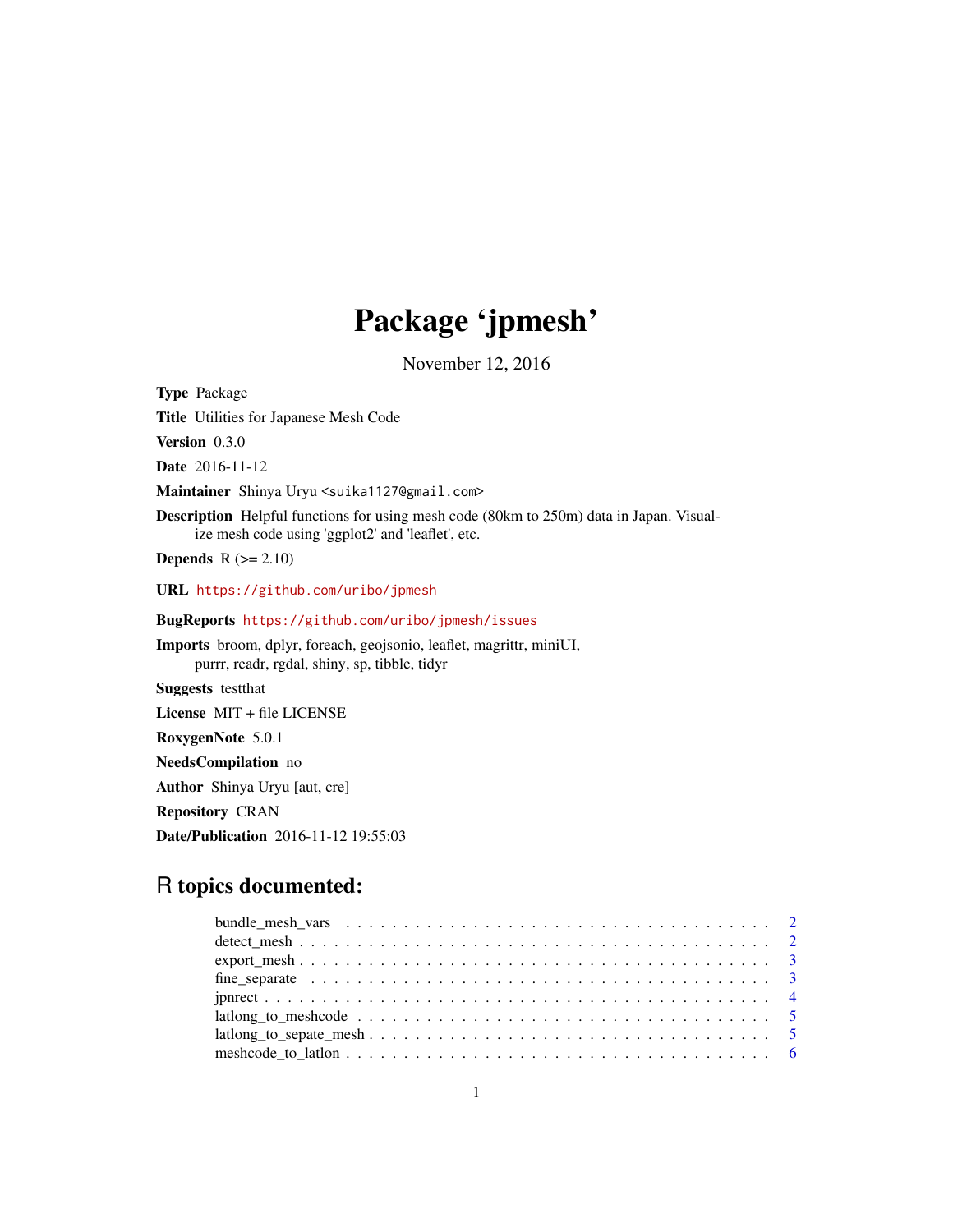# Package 'jpmesh'

November 12, 2016

Type Package

Title Utilities for Japanese Mesh Code

Version 0.3.0

Date 2016-11-12

Maintainer Shinya Uryu <suika1127@gmail.com>

Description Helpful functions for using mesh code (80km to 250m) data in Japan. Visualize mesh code using 'ggplot2' and 'leaflet', etc.

**Depends**  $R$  ( $>= 2.10$ )

URL <https://github.com/uribo/jpmesh>

BugReports <https://github.com/uribo/jpmesh/issues>

Imports broom, dplyr, foreach, geojsonio, leaflet, magrittr, miniUI, purrr, readr, rgdal, shiny, sp, tibble, tidyr

Suggests testthat

License MIT + file LICENSE

RoxygenNote 5.0.1

NeedsCompilation no

Author Shinya Uryu [aut, cre]

Repository CRAN

Date/Publication 2016-11-12 19:55:03

# R topics documented:

| $lational\_to\_sepate\_mesh \ldots \ldots \ldots \ldots \ldots \ldots \ldots \ldots \ldots \ldots \ldots \ldots 5$ |  |
|--------------------------------------------------------------------------------------------------------------------|--|
|                                                                                                                    |  |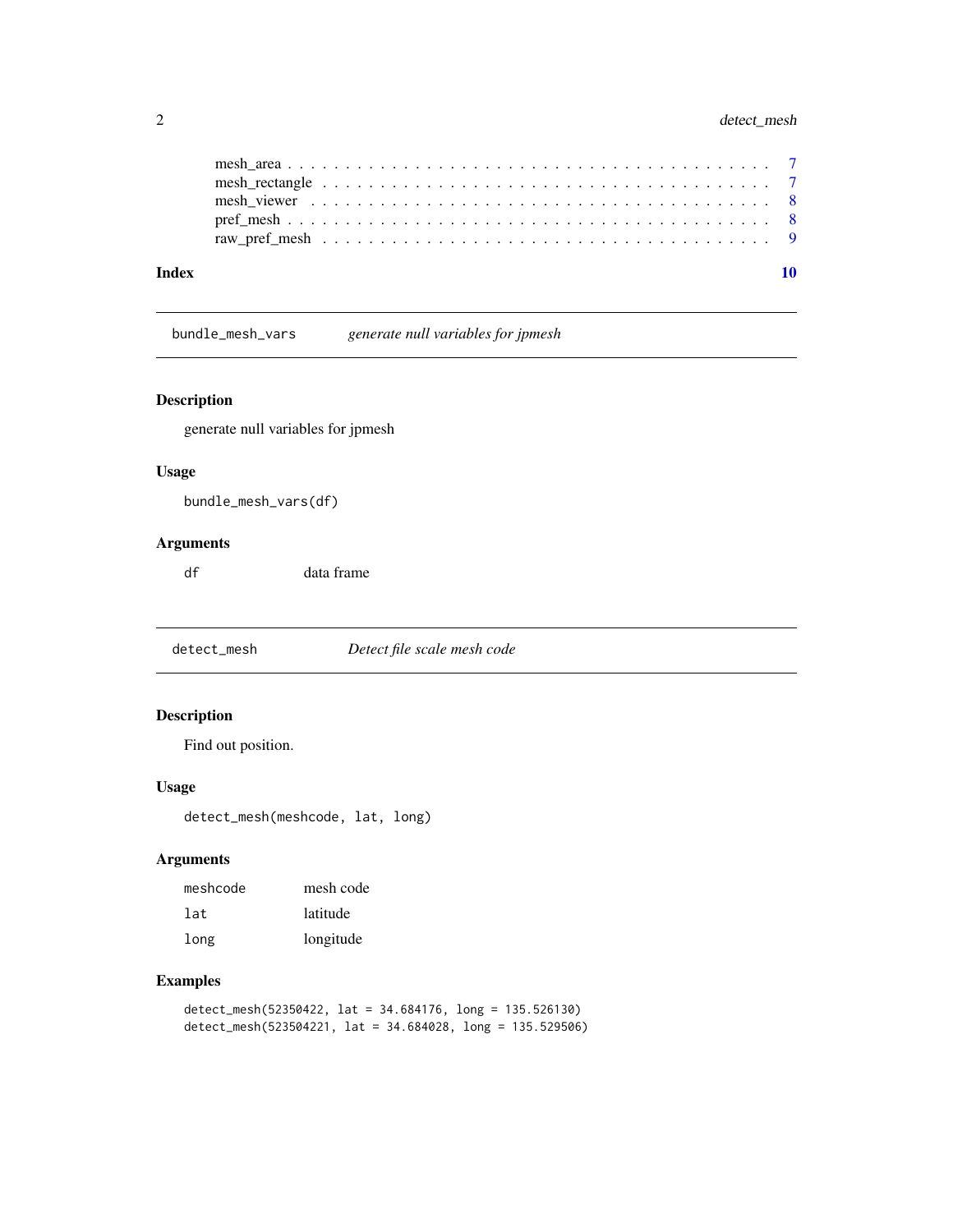<span id="page-1-0"></span>

| Index |  |  |  |  |  |  |  |  |  |  |  |  |  |  |  |  |  |  |  |  |
|-------|--|--|--|--|--|--|--|--|--|--|--|--|--|--|--|--|--|--|--|--|
|       |  |  |  |  |  |  |  |  |  |  |  |  |  |  |  |  |  |  |  |  |
|       |  |  |  |  |  |  |  |  |  |  |  |  |  |  |  |  |  |  |  |  |
|       |  |  |  |  |  |  |  |  |  |  |  |  |  |  |  |  |  |  |  |  |
|       |  |  |  |  |  |  |  |  |  |  |  |  |  |  |  |  |  |  |  |  |
|       |  |  |  |  |  |  |  |  |  |  |  |  |  |  |  |  |  |  |  |  |

bundle\_mesh\_vars *generate null variables for jpmesh*

#### Description

generate null variables for jpmesh

#### Usage

bundle\_mesh\_vars(df)

#### Arguments

df data frame

detect\_mesh *Detect file scale mesh code*

#### Description

Find out position.

#### Usage

detect\_mesh(meshcode, lat, long)

#### Arguments

| meshcode | mesh code |
|----------|-----------|
| 1at.     | latitude  |
| long     | longitude |

#### Examples

detect\_mesh(52350422, lat = 34.684176, long = 135.526130) detect\_mesh(523504221, lat = 34.684028, long = 135.529506)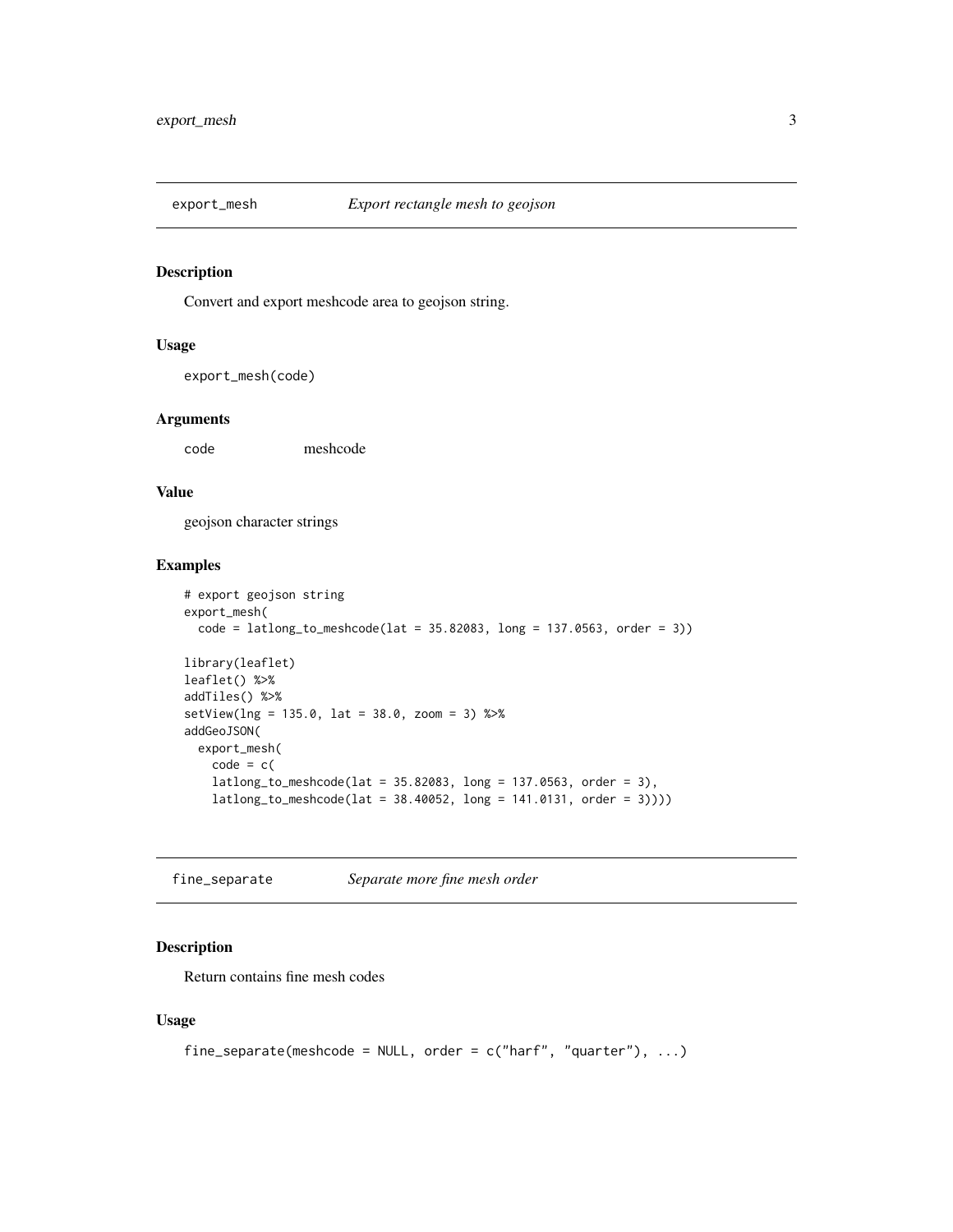<span id="page-2-0"></span>

Convert and export meshcode area to geojson string.

#### Usage

export\_mesh(code)

#### Arguments

code meshcode

#### Value

geojson character strings

#### Examples

```
# export geojson string
export_mesh(
  code = latlong_to_meshcode(lat = 35.82083, long = 137.0563, order = 3))
library(leaflet)
leaflet() %>%
addTiles() %>%
setView(lng = 135.0, lat = 38.0, zoom = 3) %>%
addGeoJSON(
  export_mesh(
   code = c(latlong_to_meshcode(lat = 35.82083, long = 137.0563, order = 3),
   latlong_to_meshcode(lat = 38.40052, long = 141.0131, order = 3))))
```
fine\_separate *Separate more fine mesh order*

#### Description

Return contains fine mesh codes

#### Usage

```
fine_separate(meshcode = NULL, order = c("harf", "quarter"), ...)
```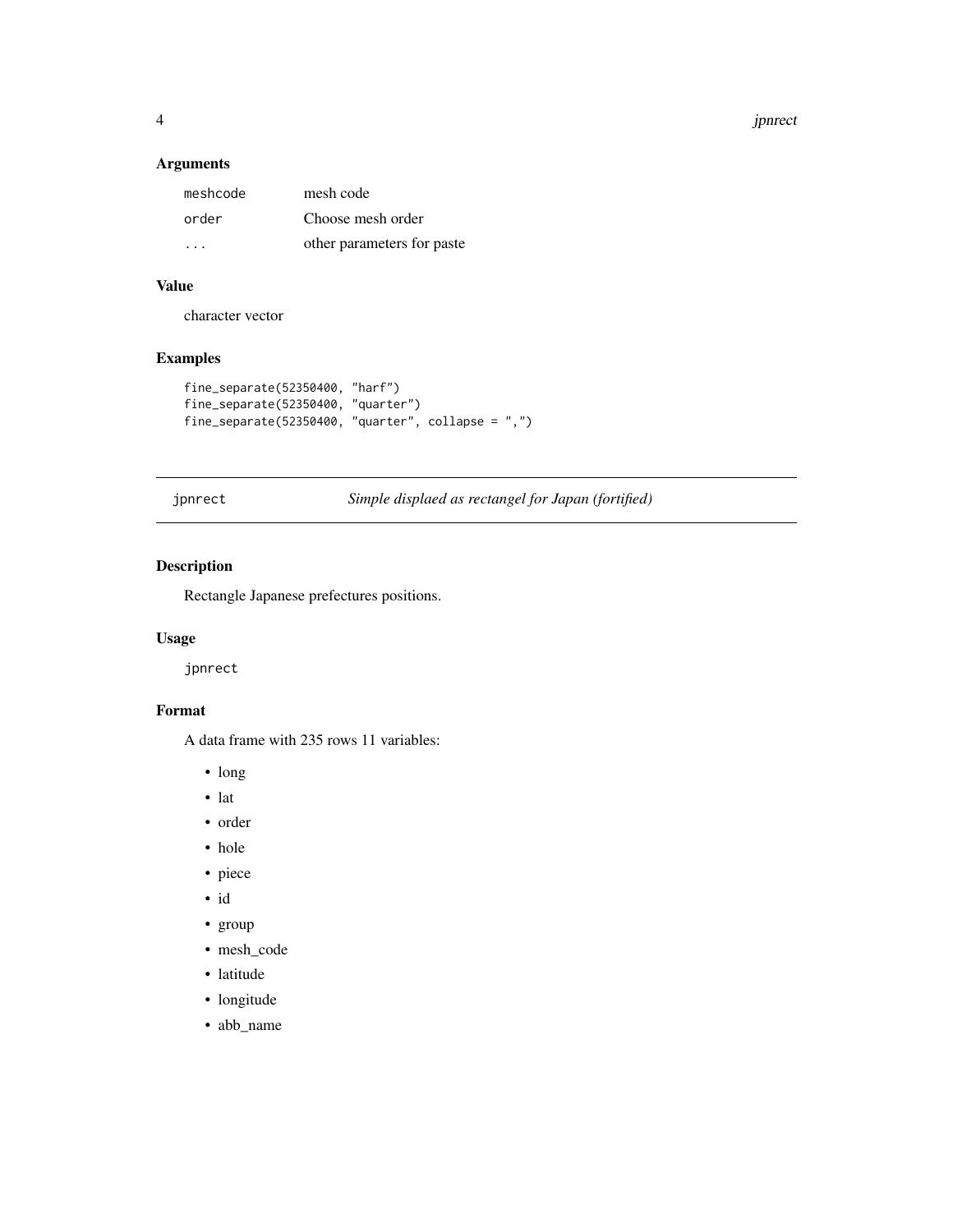4 jphrect to the state of the state of the state of the state of the state of the state of the state of the state of the state of the state of the state of the state of the state of the state of the state of the state of t

#### Arguments

| meshcode | mesh code                  |
|----------|----------------------------|
| order    | Choose mesh order          |
| .        | other parameters for paste |

# Value

character vector

# Examples

```
fine_separate(52350400, "harf")
fine_separate(52350400, "quarter")
fine_separate(52350400, "quarter", collapse = ",")
```
jpnrect *Simple displaed as rectangel for Japan (fortified)*

# Description

Rectangle Japanese prefectures positions.

#### Usage

jpnrect

#### Format

A data frame with 235 rows 11 variables:

- long
- lat
- order
- hole
- piece
- id
- group
- mesh\_code
- latitude
- longitude
- abb\_name

<span id="page-3-0"></span>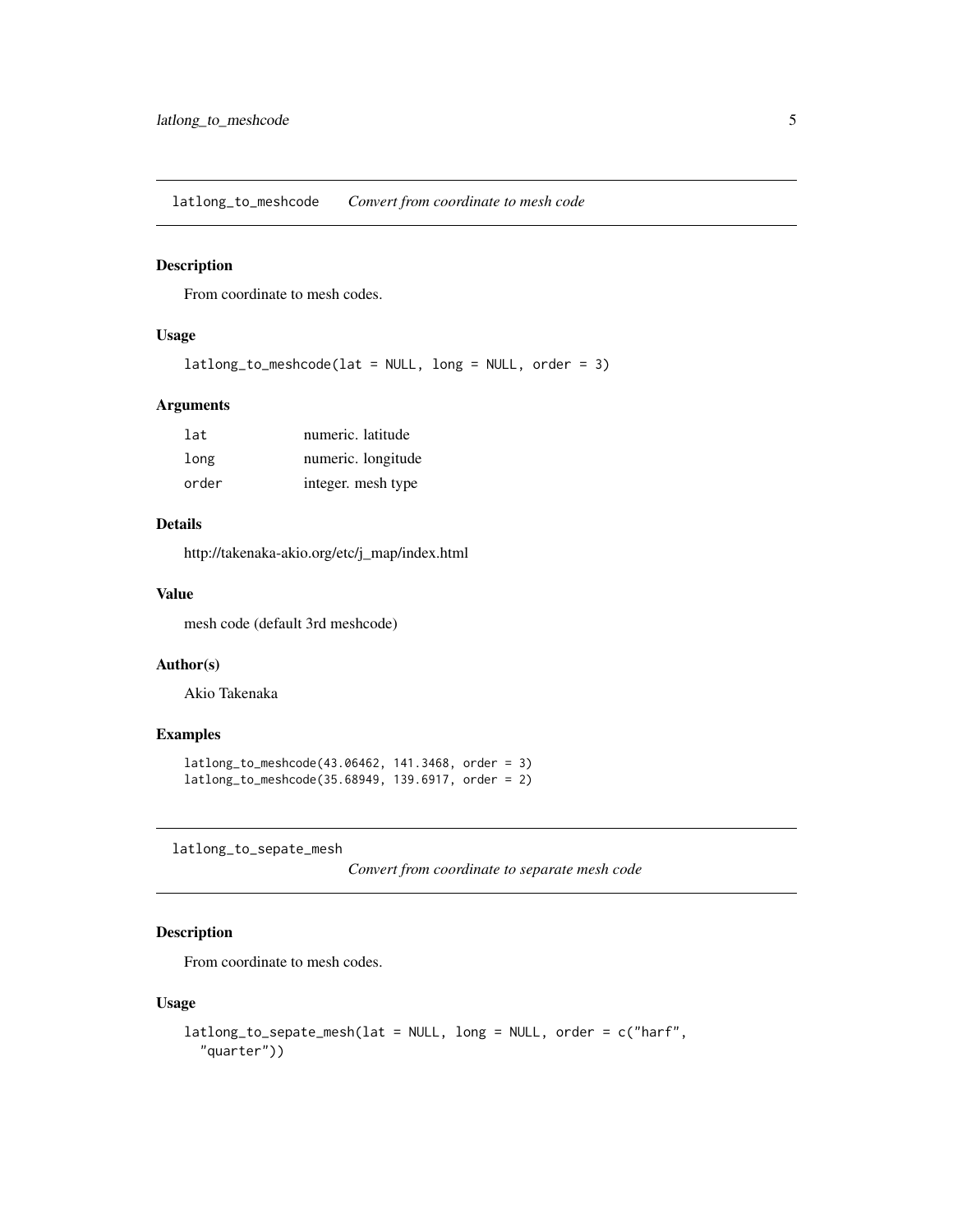<span id="page-4-0"></span>latlong\_to\_meshcode *Convert from coordinate to mesh code*

#### Description

From coordinate to mesh codes.

#### Usage

```
latlong_to_meshcode(lat = NULL, long = NULL, order = 3)
```
#### Arguments

| lat   | numeric. latitude  |
|-------|--------------------|
| long  | numeric. longitude |
| order | integer. mesh type |

### Details

http://takenaka-akio.org/etc/j\_map/index.html

#### Value

mesh code (default 3rd meshcode)

#### Author(s)

Akio Takenaka

#### Examples

```
latlong_to_meshcode(43.06462, 141.3468, order = 3)
latlong_to_meshcode(35.68949, 139.6917, order = 2)
```
latlong\_to\_sepate\_mesh

*Convert from coordinate to separate mesh code*

#### Description

From coordinate to mesh codes.

#### Usage

```
latlong_to_sepate_mesh(lat = NULL, long = NULL, order = c("harf",
  "quarter"))
```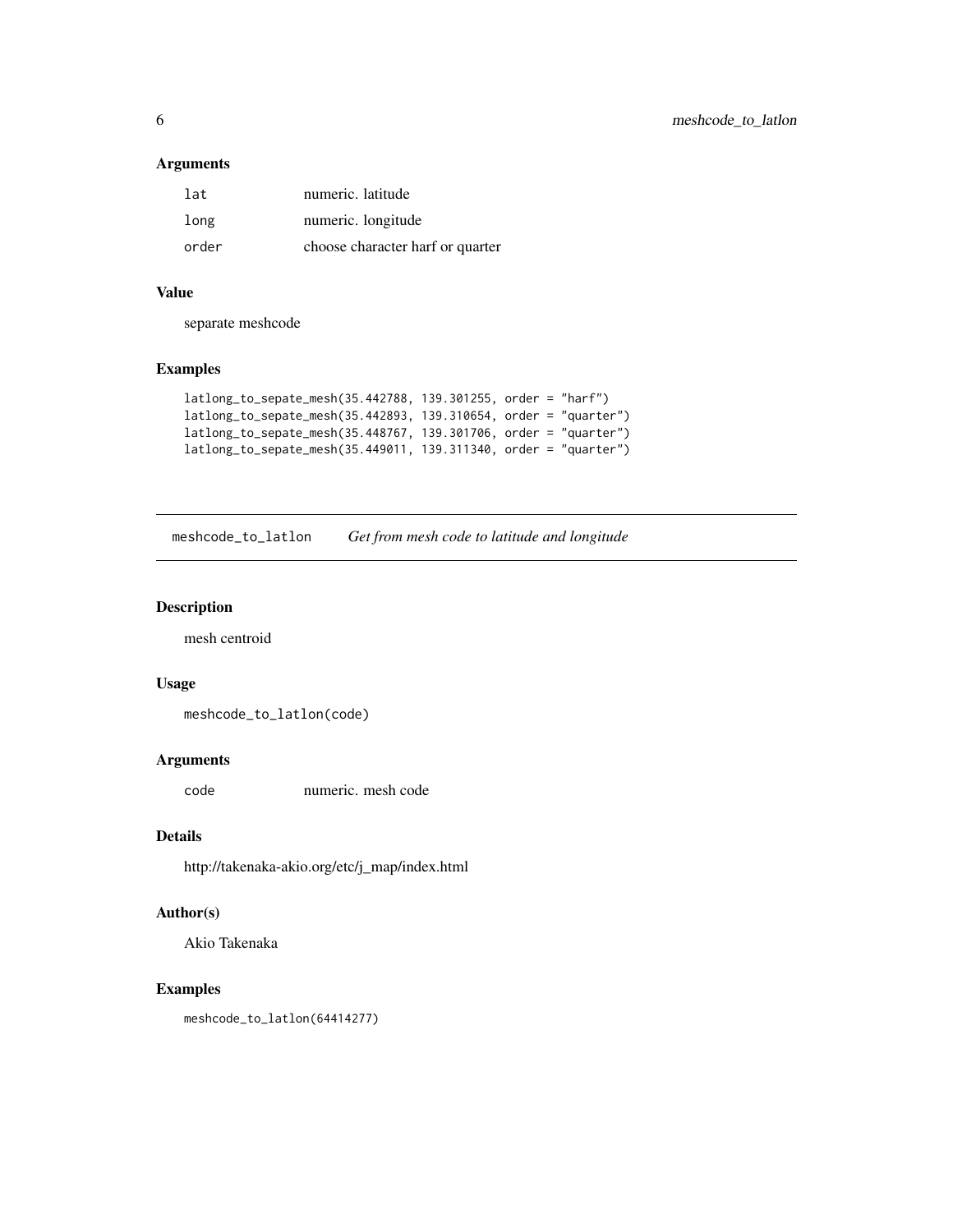#### <span id="page-5-0"></span>Arguments

| lat   | numeric. latitude                |
|-------|----------------------------------|
| long  | numeric. longitude               |
| order | choose character harf or quarter |

#### Value

separate meshcode

#### Examples

```
latlong_to_sepate_mesh(35.442788, 139.301255, order = "harf")
latlong_to_sepate_mesh(35.442893, 139.310654, order = "quarter")
latlong_to_sepate_mesh(35.448767, 139.301706, order = "quarter")
latlong_to_sepate_mesh(35.449011, 139.311340, order = "quarter")
```
meshcode\_to\_latlon *Get from mesh code to latitude and longitude*

#### Description

mesh centroid

#### Usage

meshcode\_to\_latlon(code)

#### Arguments

code numeric. mesh code

#### Details

http://takenaka-akio.org/etc/j\_map/index.html

### Author(s)

Akio Takenaka

#### Examples

meshcode\_to\_latlon(64414277)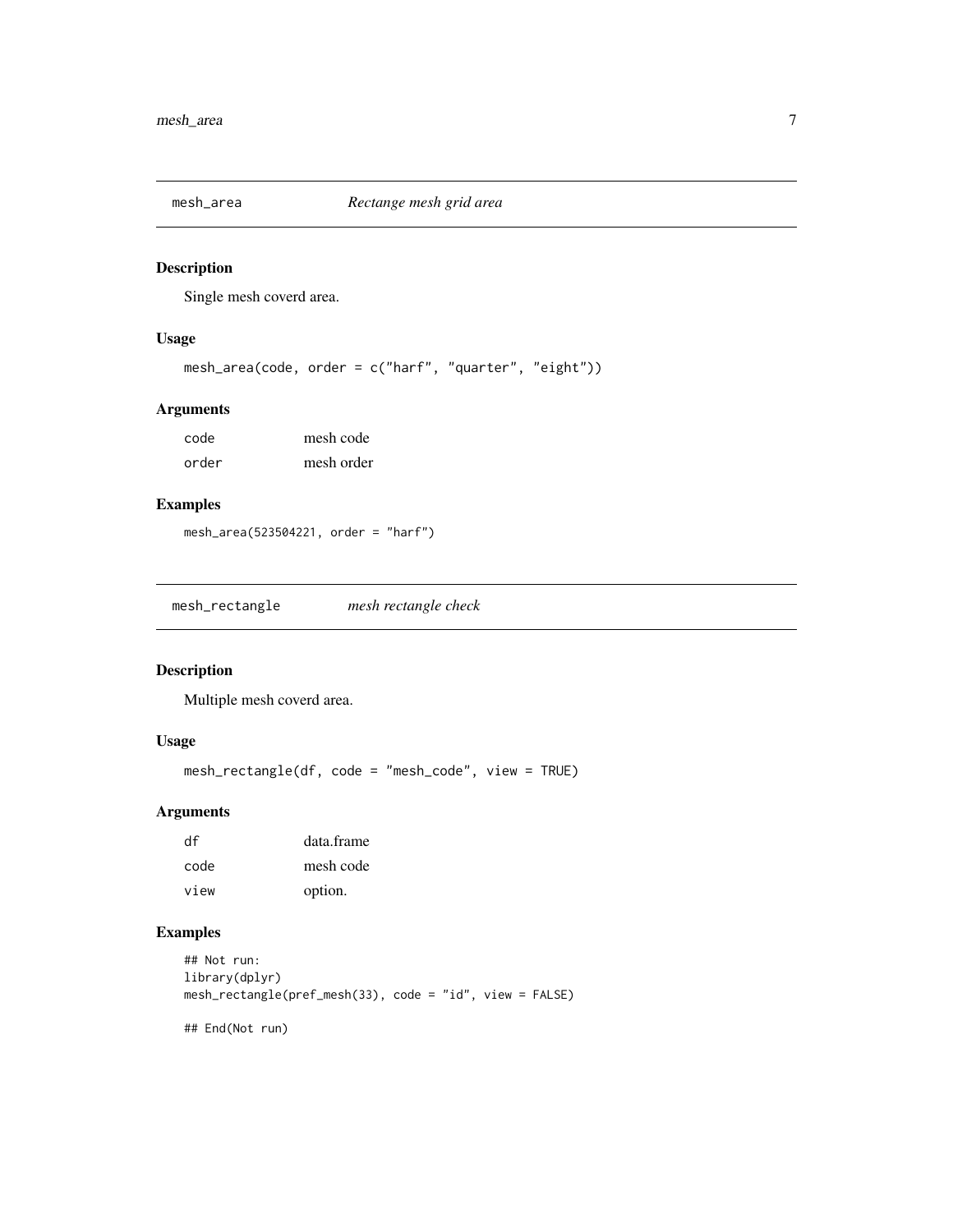<span id="page-6-0"></span>

Single mesh coverd area.

#### Usage

```
mesh_area(code, order = c("harf", "quarter", "eight"))
```
#### Arguments

| code  | mesh code  |
|-------|------------|
| order | mesh order |

#### Examples

```
mesh_area(523504221, order = "harf")
```
mesh\_rectangle *mesh rectangle check*

#### Description

Multiple mesh coverd area.

#### Usage

mesh\_rectangle(df, code = "mesh\_code", view = TRUE)

#### Arguments

| df   | data.frame |
|------|------------|
| code | mesh code  |
| view | option.    |

#### Examples

```
## Not run:
library(dplyr)
mesh_rectangle(pref_mesh(33), code = "id", view = FALSE)
```
## End(Not run)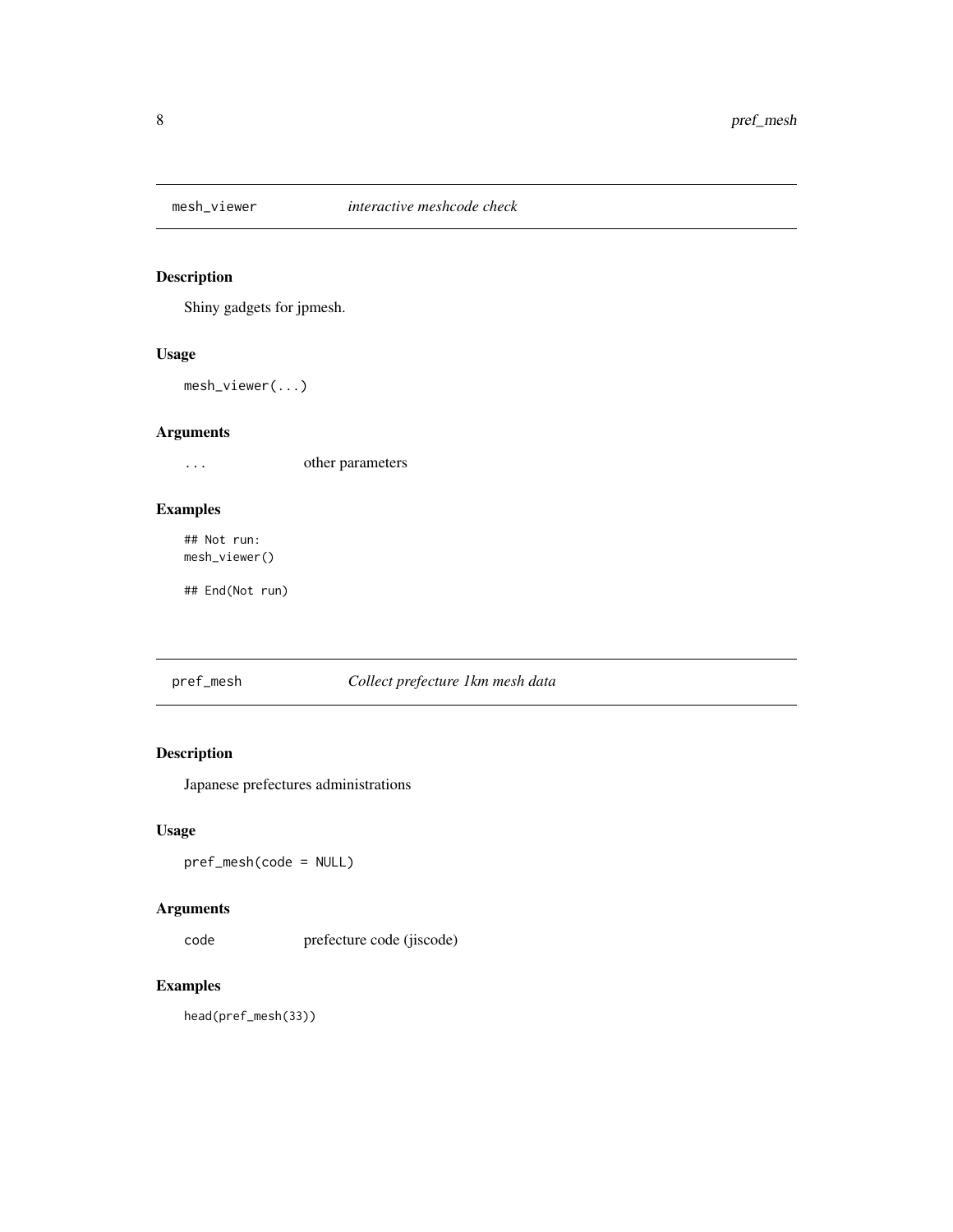<span id="page-7-0"></span>

Shiny gadgets for jpmesh.

#### Usage

mesh\_viewer(...)

### Arguments

... other parameters

#### Examples

## Not run: mesh\_viewer()

## End(Not run)

#### pref\_mesh *Collect prefecture 1km mesh data*

# Description

Japanese prefectures administrations

#### Usage

pref\_mesh(code = NULL)

#### Arguments

code prefecture code (jiscode)

# Examples

head(pref\_mesh(33))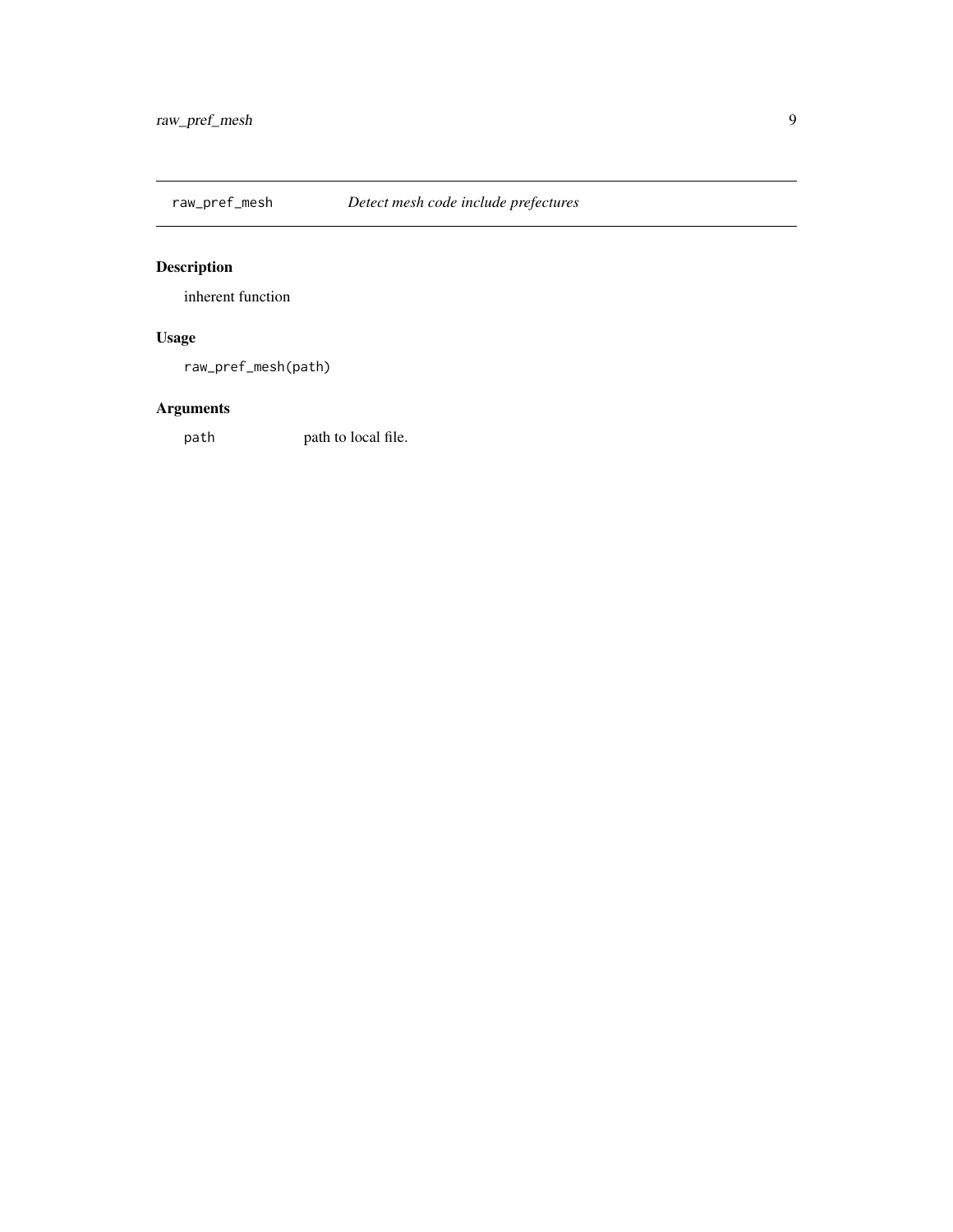<span id="page-8-0"></span>

inherent function

# Usage

raw\_pref\_mesh(path)

# Arguments

path path to local file.